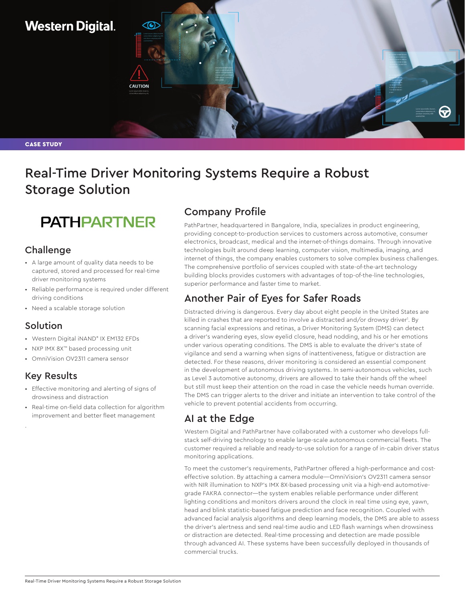# **Western Digital.**

CASE STUDY

# Real-Time Driver Monitoring Systems Require a Robust Storage Solution

# **PATHPARTNER**

**CAUTION** 

### **Challenge**

- A large amount of quality data needs to be captured, stored and processed for real-time driver monitoring systems
- Reliable performance is required under different driving conditions
- Need a scalable storage solution

### Solution

- Western Digital iNAND® IX EM132 EFDs
- NXP IMX 8X™ based processing unit
- OmniVision OV2311 camera sensor

### Key Results

.

- Effective monitoring and alerting of signs of drowsiness and distraction
- Real-time on-field data collection for algorithm improvement and better fleet management

# Company Profile

PathPartner, headquartered in Bangalore, India, specializes in product engineering, providing concept-to-production services to customers across automotive, consumer electronics, broadcast, medical and the internet-of-things domains. Through innovative technologies built around deep learning, computer vision, multimedia, imaging, and internet of things, the company enables customers to solve complex business challenges. The comprehensive portfolio of services coupled with state-of-the-art technology building blocks provides customers with advantages of top-of-the-line technologies, superior performance and faster time to market.

## Another Pair of Eyes for Safer Roads

Distracted driving is dangerous. Every day about eight people in the United States are killed in crashes that are reported to involve a distracted and/or drowsy driver<sup>1</sup>. By scanning facial expressions and retinas, a Driver Monitoring System (DMS) can detect a driver's wandering eyes, slow eyelid closure, head nodding, and his or her emotions under various operating conditions. The DMS is able to evaluate the driver's state of vigilance and send a warning when signs of inattentiveness, fatigue or distraction are detected. For these reasons, driver monitoring is considered an essential component in the development of autonomous driving systems. In semi-autonomous vehicles, such as Level 3 automotive autonomy, drivers are allowed to take their hands off the wheel but still must keep their attention on the road in case the vehicle needs human override. The DMS can trigger alerts to the driver and initiate an intervention to take control of the vehicle to prevent potential accidents from occurring.

# AI at the Edge

Western Digital and PathPartner have collaborated with a customer who develops fullstack self-driving technology to enable large-scale autonomous commercial fleets. The customer required a reliable and ready-to-use solution for a range of in-cabin driver status monitoring applications.

To meet the customer's requirements, PathPartner offered a high-performance and costeffective solution. By attaching a camera module—OmniVision's OV2311 camera sensor with NIR illumination to NXP's IMX 8X-based processing unit via a high-end automotivegrade FAKRA connector—the system enables reliable performance under different lighting conditions and monitors drivers around the clock in real time using eye, yawn, head and blink statistic-based fatigue prediction and face recognition. Coupled with advanced facial analysis algorithms and deep learning models, the DMS are able to assess the driver's alertness and send real-time audio and LED flash warnings when drowsiness or distraction are detected. Real-time processing and detection are made possible through advanced AI. These systems have been successfully deployed in thousands of commercial trucks.